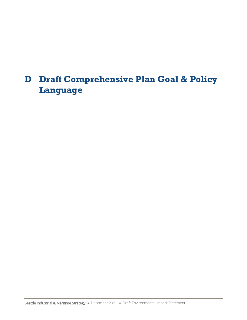# **D Draft Comprehensive Plan Goal & Policy Language**

Seattle Industrial & Maritime Strategy · December 2021 · Draft Environmental Impact Statement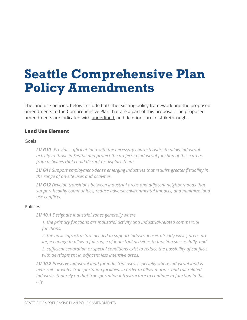# **Seattle Comprehensive Plan Policy Amendments**

The land use policies, below, include both the existing policy framework and the proposed amendments to the Comprehensive Plan that are a part of this proposal. The proposed amendments are indicated with underlined, and deletions are in strikethrough.

# **Land Use Element**

#### Goals

*LU G10 Provide sufficient land with the necessary characteristics to allow industrial activity to thrive in Seattle and protect the preferred industrial function of these areas from activities that could disrupt or displace them.*

*LU G11 Support employment-dense emerging industries that require greater flexibility in the range of on-site uses and activities.*

*LU G12 Develop transitions between industrial areas and adjacent neighborhoods that support healthy communities, reduce adverse environmental impacts, and minimize land use conflicts.*

#### Policies

*LU 10.1 Designate industrial zones generally where* 

*1. the primary functions are industrial activity and industrial-related commercial functions,*

*2. the basic infrastructure needed to support industrial uses already exists, areas are large enough to allow a full range of industrial activities to function successfully, and*

*3. sufficient separation or special conditions exist to reduce the possibility of conflicts with development in adjacent less intensive areas.*

*LU 10.2 Preserve industrial land for industrial uses, especially where industrial land is near rail- or water-transportation facilities, in order to allow marine- and rail-related industries that rely on that transportation infrastructure to continue to function in the city.*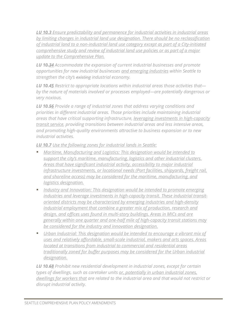*LU 10.3 Ensure predictability and permanence for industrial activities in industrial areas by limiting changes in industrial land use designation. There should be no reclassification of industrial land to a non-industrial land use category except as part of a City-initiated comprehensive study and review of industrial land use policies or as part of a major update to the Comprehensive Plan.*

*LU 10.34 Accommodate the expansion of current industrial businesses and promote opportunities for new industrial businesses and emerging industries within Seattle to strengthen the city's existing industrial economy.*

*LU 10.45 Restrict to appropriate locations within industrial areas those activities that by the nature of materials involved or processes employed—are potentially dangerous or very noxious.*

*LU 10.56 Provide a range of industrial zones that address varying conditions and priorities in different industrial areas. Those priorities include maintaining industrial areas that have critical supporting infrastructure, leveraging investments in high-capacity transit service, providing transitions between industrial areas and less intensive areas, and promoting high-quality environments attractive to business expansion or to new industrial activities.*

*LU 10.7 Use the following zones for industrial lands in Seattle:*

- *Maritime, Manufacturing and Logistics: This designation would be intended to support the city's maritime, manufacturing, logistics and other industrial clusters. Areas that have significant industrial activity, accessibility to major industrial infrastructure investments, or locational needs (Port facilities, shipyards, freight rail, and shoreline access) may be considered for the maritime, manufacturing, and logistics designation.*
- *Industry and Innovation: This designation would be intended to promote emerging industries and leverage investments in high-capacity transit. These industrial transitoriented districts may be characterized by emerging industries and high-density industrial employment that combine a greater mix of production, research and design, and offices uses found in multi-story buildings. Areas in MICs and are generally within one quarter and one-half mile of high-capacity transit stations may be considered for the industry and innovation designation.*
- *Urban Industrial: This designation would be intended to encourage a vibrant mix of uses and relatively affordable, small-scale industrial, makers and arts spaces. Areas located at transitions from industrial to commercial and residential areas traditionally zoned for buffer purposes may be considered for the Urban industrial designation.*

*LU 10.68 Prohibit new residential development in industrial zones, except for certain types of dwellings, such as caretaker units or, potentially in urban industrial zones, dwellings for workers that are related to the industrial area and that would not restrict or disrupt industrial activity.*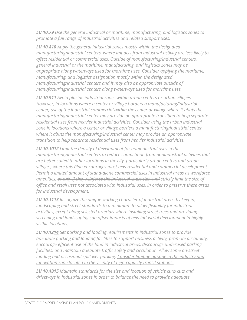*LU 10.79 Use the general industrial or maritime, manufacturing, and logistics zones to promote a full range of industrial activities and related support uses.*

*LU 10.810 Apply the general industrial zones mostly within the designated manufacturing/industrial centers, where impacts from industrial activity are less likely to affect residential or commercial uses. Outside of manufacturing/industrial centers, general industrial or the maritime, manufacturing, and logistics zones may be appropriate along waterways used for maritime uses. Consider applying the maritime, manufacturing, and logistics designation mostly within the designated manufacturing/industrial centers and it may also be appropriate outside of manufacturing/industrial centers along waterways used for maritime uses.* 

*LU 10.911 Avoid placing industrial zones within urban centers or urban villages. However, in locations where a center or village borders a manufacturing/industrial center, use of the industrial commercial within the center or village where it abuts the manufacturing/industrial center may provide an appropriate transition to help separate residential uses from heavier industrial activities. Consider using the urban industrial zone in locations where a center or village borders a manufacturing/industrial center, where it abuts the manufacturing/industrial center may provide an appropriate transition to help separate residential uses from heavier industrial activities.*

*LU 10.1012 Limit the density of development for nonindustrial uses in the manufacturing/industrial centers to reduce competition from nonindustrial activities that are better suited to other locations in the city, particularly urban centers and urban villages, where this Plan encourages most new residential and commercial development. Permit a limited amount of stand-alone commercial uses in industrial areas as workforce amenities. or only if they reinforce the industrial character, and strictly limit the size of office and retail uses not associated with industrial uses, in order to preserve these areas for industrial development.*

*LU 10.1113 Recognize the unique working character of industrial areas by keeping landscaping and street standards to a minimum to allow flexibility for industrial activities, except along selected arterials where installing street trees and providing screening and landscaping can offset impacts of new industrial development in highly visible locations.*

*LU 10.1214 Set parking and loading requirements in industrial zones to provide adequate parking and loading facilities to support business activity, promote air quality, encourage efficient use of the land in industrial areas, discourage underused parking facilities, and maintain adequate traffic safety and circulation. Allow some on-street loading and occasional spillover parking. Consider limiting parking in the industry and innovation zone located in the vicinity of high-capacity transit stations.*

*LU 10.1315 Maintain standards for the size and location of vehicle curb cuts and driveways in industrial zones in order to balance the need to provide adequate*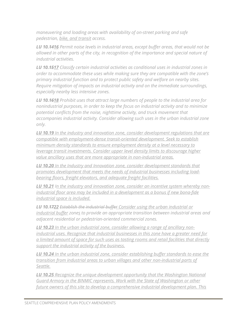*maneuvering and loading areas with availability of on-street parking and safe pedestrian, bike, and transit access.*

*LU 10.1416 Permit noise levels in industrial areas, except buffer areas, that would not be allowed in other parts of the city, in recognition of the importance and special nature of industrial activities.*

*LU 10.1517 Classify certain industrial activities as conditional uses in industrial zones in order to accommodate these uses while making sure they are compatible with the zone's primary industrial function and to protect public safety and welfare on nearby sites. Require mitigation of impacts on industrial activity and on the immediate surroundings, especially nearby less intensive zones.*

*LU 10.1618 Prohibit uses that attract large numbers of people to the industrial area for nonindustrial purposes, in order to keep the focus on industrial activity and to minimize potential conflicts from the noise, nighttime activity, and truck movement that accompanies industrial activity. Consider allowing such uses in the urban industrial zone only.*

*LU 10.19 In the industry and innovation zone, consider development regulations that are compatible with employment-dense transit-oriented development. Seek to establish minimum density standards to ensure employment density at a level necessary to leverage transit investments. Consider upper level density limits to discourage higher value ancillary uses that are more appropriate in non-industrial areas.*

*LU 10.20 In the Industry and Innovation zone, consider development standards that promotes development that meets the needs of industrial businesses including loadbearing floors, freight elevators, and adequate freight facilities.*

*LU 10.21 In the industry and innovation zone, consider an incentive system whereby nonindustrial floor area may be included in a development as a bonus if new bona-fide industrial space is included.* 

*LU 10.1722 Establish the industrial buffer Consider using the urban industrial or industrial buffer zones to provide an appropriate transition between industrial areas and adjacent residential or pedestrian-oriented commercial zones.*

*LU 10.23 In the urban industrial zone, consider allowing a range of ancillary nonindustrial uses. Recognize that industrial businesses in this zone have a greater need for a limited amount of space for such uses as tasting rooms and retail facilities that directly support the industrial activity of the business.*

*LU 10.24 In the urban industrial zone, consider establishing buffer standards to ease the transition from industrial areas to urban villages and other non-industrial parts of Seattle.*

*LU 10.25 Recognize the unique development opportunity that the Washington National Guard Armory in the BINMIC represents. Work with the State of Washington or other future owners of this site to develop a comprehensive industrial development plan. This*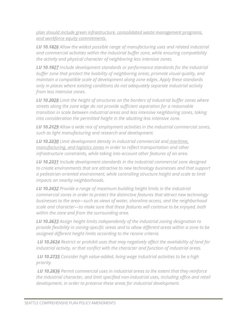*plan should include green infrastructure, consolidated waste management programs, and workforce equity commitments.* 

*LU 10.1826 Allow the widest possible range of manufacturing uses and related industrial and commercial activities within the industrial buffer zone, while ensuring compatibility the activity and physical character of neighboring less intensive zones.*

*LU 10.1927 Include development standards or performance standards for the industrial buffer zone that protect the livability of neighboring areas, promote visual quality, and maintain a compatible scale of development along zone edges. Apply these standards only in places where existing conditions do not adequately separate industrial activity from less intensive zones.*

*LU 10.2028 Limit the height of structures on the borders of industrial buffer zones where streets along the zone edge do not provide sufficient separation for a reasonable transition in scale between industrial areas and less intensive neighboring zones, taking into consideration the permitted height in the abutting less intensive zone.*

*LU 10.2129 Allow a wide mix of employment activities in the industrial commercial zones, such as light manufacturing and research and development.*

*LU 10.2230 Limit development density in industrial commercial and maritime, manufacturing, and logistics zones in order to reflect transportation and other infrastructure constraints, while taking into account other features of an area.*

*LU 10.2331 Include development standards in the industrial commercial zone designed to create environments that are attractive to new technology businesses and that support a pedestrian-oriented environment, while controlling structure height and scale to limit impacts on nearby neighborhoods.*

*LU 10.2432 Provide a range of maximum building height limits in the industrial commercial zones in order to protect the distinctive features that attract new technology businesses to the area—such as views of water, shoreline access, and the neighborhood scale and character—to make sure that these features will continue to be enjoyed, both within the zone and from the surrounding area.*

*LU 10.2633 Assign height limits independently of the industrial zoning designation to provide flexibility in zoning-specific areas and to allow different areas within a zone to be assigned different height limits according to the rezone criteria.*

*LU 10.2634 Restrict or prohibit uses that may negatively affect the availability of land for industrial activity, or that conflict with the character and function of industrial areas.*

*LU 10.2735 Consider high value-added, living wage industrial activities to be a high priority.*

*LU 10.2836 Permit commercial uses in industrial areas to the extent that they reinforce the industrial character, and limit specified non-industrial uses, including office and retail development, in order to preserve these areas for industrial development.*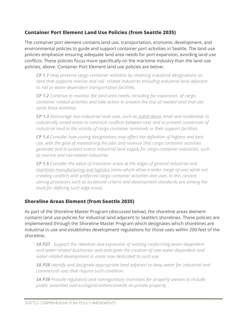# **Container Port Element Land Use Policies (from Seattle 2035)**

The container port element contains land use, transportation, economic development, and environmental policies to guide and support container port activities in Seattle. The land use policies emphasize ensuring adequate land area needs for port expansion, avoiding land use conflicts. These policies focus more specifically on the maritime industry than the land use policies, above. Container Port Element land use policies are below:

*CP 1.1 Help preserve cargo container activities by retaining industrial designations on land that supports marine and rail- related industries including industrial land adjacent to rail or water-dependent transportation facilities.* 

*CP 1.2 Continue to monitor the land area needs, including for expansion, of cargo container related activities and take action to prevent the loss of needed land that can serve these activities.* 

*CP 1.3 Discourage non-industrial land uses, such as stand-alone retail and residential, in industrially zoned areas to minimize conflicts between uses and to prevent conversion of industrial land in the vicinity of cargo container terminals or their support facilities.* 

*CP 1.4 Consider how zoning designations may affect the definition of highest and best use, with the goal of maintaining the jobs and revenue that cargo container activities generate and to protect scarce industrial land supply for cargo container industries, such as marine and rail-related industries.* 

*CP 1.5 Consider the value of transition areas at the edges of general industrial and maritime manufacturing and logistics zones which allow a wider range of uses while not creating conflicts with preferred cargo container activities and uses. In this context, zoning provisions such as locational criteria and development standards are among the tools for defining such edge areas.*

### **Shoreline Areas Element (from Seattle 2035)**

As part of the Shoreline Master Program (discussed below), the shoreline areas element contains land use policies for industrial land adjacent to Seattle's shorelines. These policies are implemented through the Shoreline Master Program which designates which shorelines are industrial in use and establishes development regulations for those uses within 200-feet of the shoreline.

*SA P37 Support the retention and expansion of existing conforming water-dependent and water-related businesses and anticipate the creation of new water-dependent and water-related development in areas now dedicated to such use.*

*SA P38 Identify and designate appropriate land adjacent to deep water for industrial and commercial uses that require such condition.* 

*SA P39 Provide regulatory and nonregulatory incentives for property owners to include public amenities and ecological enhancements on private property.*